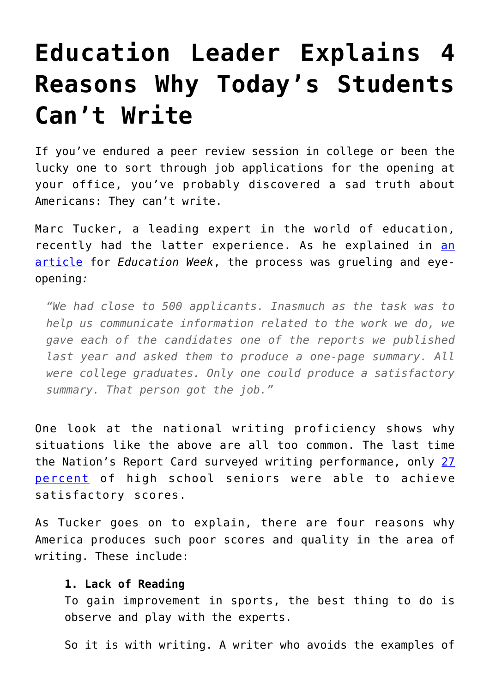# **[Education Leader Explains 4](https://intellectualtakeout.org/2017/01/education-leader-explains-4-reasons-why-todays-students-cant-write/) [Reasons Why Today's Students](https://intellectualtakeout.org/2017/01/education-leader-explains-4-reasons-why-todays-students-cant-write/) [Can't Write](https://intellectualtakeout.org/2017/01/education-leader-explains-4-reasons-why-todays-students-cant-write/)**

If you've endured a peer review session in college or been the lucky one to sort through job applications for the opening at your office, you've probably discovered a sad truth about Americans: They can't write.

Marc Tucker, a leading expert in the world of education, recently had the latter experience. As he explained in [an](http://blogs.edweek.org/edweek/top_performers/2017/01/our_students_cant_write_very_wellits_no_mystery_why.html) [article](http://blogs.edweek.org/edweek/top_performers/2017/01/our_students_cant_write_very_wellits_no_mystery_why.html) for *Education Week*, the process was grueling and eyeopening*:*

*"We had close to 500 applicants. Inasmuch as the task was to help us communicate information related to the work we do, we gave each of the candidates one of the reports we published last year and asked them to produce a one-page summary. All were college graduates. Only one could produce a satisfactory summary. That person got the job."*

One look at the national writing proficiency shows why situations like the above are all too common. The last time the Nation's Report Card surveyed writing performance, only [27](https://nationsreportcard.gov/) [percent](https://nationsreportcard.gov/) of high school seniors were able to achieve satisfactory scores.

As Tucker goes on to explain, there are four reasons why America produces such poor scores and quality in the area of writing. These include:

# **1. Lack of Reading**

To gain improvement in sports, the best thing to do is observe and play with the experts.

So it is with writing. A writer who avoids the examples of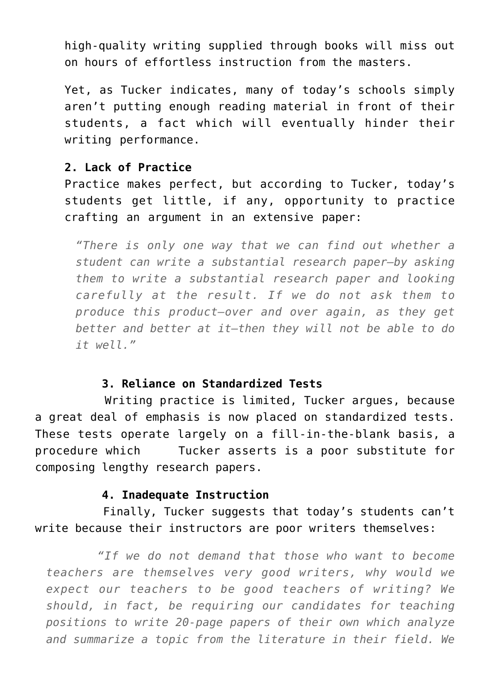high-quality writing supplied through books will miss out on hours of effortless instruction from the masters.

Yet, as Tucker indicates, many of today's schools simply aren't putting enough reading material in front of their students, a fact which will eventually hinder their writing performance.

### **2. Lack of Practice**

Practice makes perfect, but according to Tucker, today's students get little, if any, opportunity to practice crafting an argument in an extensive paper:

*"There is only one way that we can find out whether a student can write a substantial research paper—by asking them to write a substantial research paper and looking carefully at the result. If we do not ask them to produce this product—over and over again, as they get better and better at it—then they will not be able to do it well."*

#### **3. Reliance on Standardized Tests**

 Writing practice is limited, Tucker argues, because a great deal of emphasis is now placed on standardized tests. These tests operate largely on a fill-in-the-blank basis, a procedure which Tucker asserts is a poor substitute for composing lengthy research papers.

# **4. Inadequate Instruction**

 Finally, Tucker suggests that today's students can't write because their instructors are poor writers themselves:

 *"If we do not demand that those who want to become teachers are themselves very good writers, why would we expect our teachers to be good teachers of writing? We should, in fact, be requiring our candidates for teaching positions to write 20-page papers of their own which analyze and summarize a topic from the literature in their field. We*